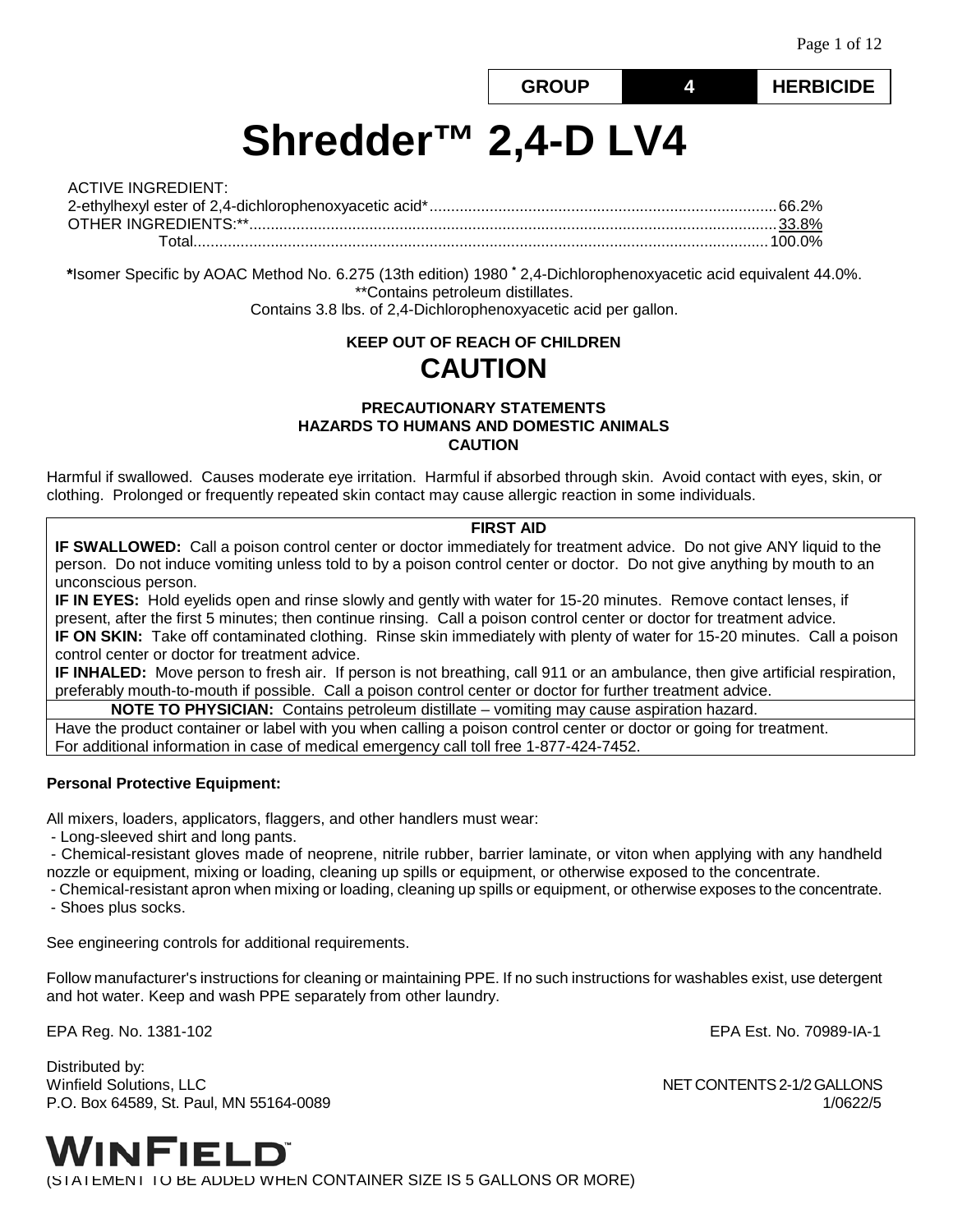# **GROUP 4 HERBICIDE**

**Shredder™ 2,4-D LV4**

| ACTIVE INGREDIENT: |  |
|--------------------|--|
|                    |  |
|                    |  |
|                    |  |

**\***Isomer Specific by AOAC Method No. 6.275 (13th edition) 1980 **\*** 2,4-Dichlorophenoxyacetic acid equivalent 44.0%. \*\*Contains petroleum distillates. Contains 3.8 lbs. of 2,4-Dichlorophenoxyacetic acid per gallon.

# **KEEP OUT OF REACH OF CHILDREN CAUTION**

#### **PRECAUTIONARY STATEMENTS HAZARDS TO HUMANS AND DOMESTIC ANIMALS CAUTION**

Harmful if swallowed. Causes moderate eye irritation. Harmful if absorbed through skin. Avoid contact with eyes, skin, or clothing. Prolonged or frequently repeated skin contact may cause allergic reaction in some individuals.

#### **FIRST AID**

**IF SWALLOWED:** Call a poison control center or doctor immediately for treatment advice. Do not give ANY liquid to the person. Do not induce vomiting unless told to by a poison control center or doctor. Do not give anything by mouth to an unconscious person.

**IF IN EYES:** Hold eyelids open and rinse slowly and gently with water for 15-20 minutes. Remove contact lenses, if present, after the first 5 minutes; then continue rinsing. Call a poison control center or doctor for treatment advice. **IF ON SKIN:** Take off contaminated clothing. Rinse skin immediately with plenty of water for 15-20 minutes. Call a poison control center or doctor for treatment advice.

**IF INHALED:** Move person to fresh air. If person is not breathing, call 911 or an ambulance, then give artificial respiration, preferably mouth-to-mouth if possible. Call a poison control center or doctor for further treatment advice.

**NOTE TO PHYSICIAN:** Contains petroleum distillate – vomiting may cause aspiration hazard.

Have the product container or label with you when calling a poison control center or doctor or going for treatment. For additional information in case of medical emergency call toll free 1-877-424-7452.

#### **Personal Protective Equipment:**

All mixers, loaders, applicators, flaggers, and other handlers must wear:

- Long-sleeved shirt and long pants.

- Chemical-resistant gloves made of neoprene, nitrile rubber, barrier laminate, or viton when applying with any handheld nozzle or equipment, mixing or loading, cleaning up spills or equipment, or otherwise exposed to the concentrate.

- Chemical-resistant apron when mixing or loading, cleaning up spills or equipment, or otherwise exposes to the concentrate.

- Shoes plus socks.

See engineering controls for additional requirements.

Follow manufacturer's instructions for cleaning or maintaining PPE. If no such instructions for washables exist, use detergent and hot water. Keep and wash PPE separately from other laundry.

EPA Reg. No. 1381-102 EPA Est. No. 70989-IA-1

Distributed by: Winfield Solutions, LLC NET CONTENTS 2-1/2 GALLONS P.O. Box 64589, St. Paul, MN 55164-0089 1/0622/5



(STATEMENT TO BE ADDED WHEN CONTAINER SIZE IS 5 GALLONS OR MORE)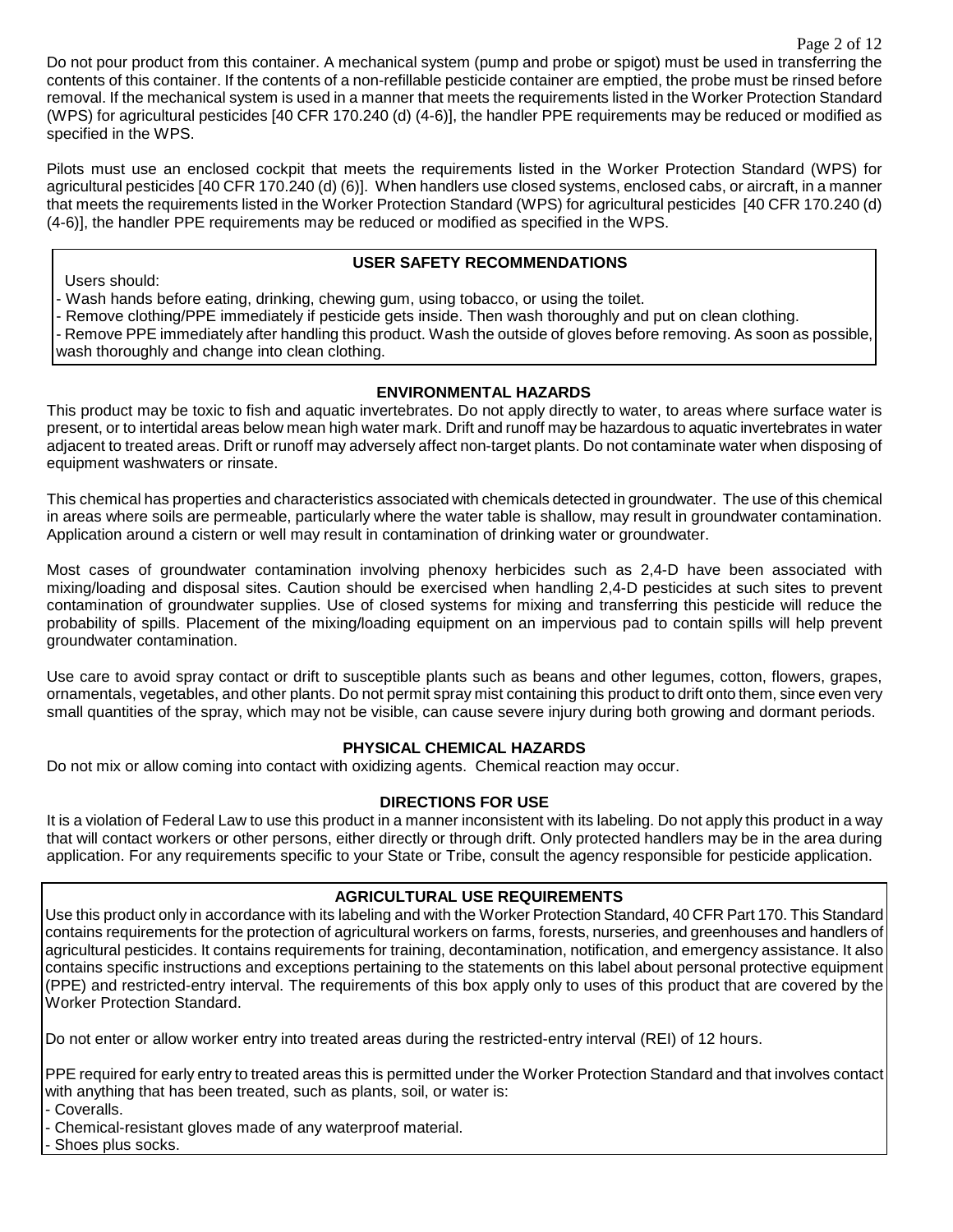Do not pour product from this container. A mechanical system (pump and probe or spigot) must be used in transferring the contents of this container. If the contents of a non-refillable pesticide container are emptied, the probe must be rinsed before removal. If the mechanical system is used in a manner that meets the requirements listed in the Worker Protection Standard (WPS) for agricultural pesticides [40 CFR 170.240 (d) (4-6)], the handler PPE requirements may be reduced or modified as specified in the WPS.

Pilots must use an enclosed cockpit that meets the requirements listed in the Worker Protection Standard (WPS) for agricultural pesticides [40 CFR 170.240 (d) (6)]. When handlers use closed systems, enclosed cabs, or aircraft, in a manner that meets the requirements listed in the Worker Protection Standard (WPS) for agricultural pesticides [40 CFR 170.240 (d) (4-6)], the handler PPE requirements may be reduced or modified as specified in the WPS.

## **USER SAFETY RECOMMENDATIONS**

Users should:

- Wash hands before eating, drinking, chewing gum, using tobacco, or using the toilet.

- Remove clothing/PPE immediately if pesticide gets inside. Then wash thoroughly and put on clean clothing.

- Remove PPE immediately after handling this product. Wash the outside of gloves before removing. As soon as possible, wash thoroughly and change into clean clothing.

## **ENVIRONMENTAL HAZARDS**

This product may be toxic to fish and aquatic invertebrates. Do not apply directly to water, to areas where surface water is present, or to intertidal areas below mean high water mark. Drift and runoff may be hazardous to aquatic invertebrates in water adjacent to treated areas. Drift or runoff may adversely affect non-target plants. Do not contaminate water when disposing of equipment washwaters or rinsate.

This chemical has properties and characteristics associated with chemicals detected in groundwater. The use of this chemical in areas where soils are permeable, particularly where the water table is shallow, may result in groundwater contamination. Application around a cistern or well may result in contamination of drinking water or groundwater.

Most cases of groundwater contamination involving phenoxy herbicides such as 2,4-D have been associated with mixing/loading and disposal sites. Caution should be exercised when handling 2,4-D pesticides at such sites to prevent contamination of groundwater supplies. Use of closed systems for mixing and transferring this pesticide will reduce the probability of spills. Placement of the mixing/loading equipment on an impervious pad to contain spills will help prevent groundwater contamination.

Use care to avoid spray contact or drift to susceptible plants such as beans and other legumes, cotton, flowers, grapes, ornamentals, vegetables, and other plants. Do not permit spray mist containing this product to drift onto them, since even very small quantities of the spray, which may not be visible, can cause severe injury during both growing and dormant periods.

## **PHYSICAL CHEMICAL HAZARDS**

Do not mix or allow coming into contact with oxidizing agents. Chemical reaction may occur.

## **DIRECTIONS FOR USE**

It is a violation of Federal Law to use this product in a manner inconsistent with its labeling. Do not apply this product in a way that will contact workers or other persons, either directly or through drift. Only protected handlers may be in the area during application. For any requirements specific to your State or Tribe, consult the agency responsible for pesticide application.

## **AGRICULTURAL USE REQUIREMENTS**

Use this product only in accordance with its labeling and with the Worker Protection Standard, 40 CFR Part 170. This Standard contains requirements for the protection of agricultural workers on farms, forests, nurseries, and greenhouses and handlers of agricultural pesticides. It contains requirements for training, decontamination, notification, and emergency assistance. It also contains specific instructions and exceptions pertaining to the statements on this label about personal protective equipment (PPE) and restricted-entry interval. The requirements of this box apply only to uses of this product that are covered by the Worker Protection Standard.

Do not enter or allow worker entry into treated areas during the restricted-entry interval (REI) of 12 hours.

PPE required for early entry to treated areas this is permitted under the Worker Protection Standard and that involves contact with anything that has been treated, such as plants, soil, or water is:

- Coveralls.

- Chemical-resistant gloves made of any waterproof material.

Shoes plus socks.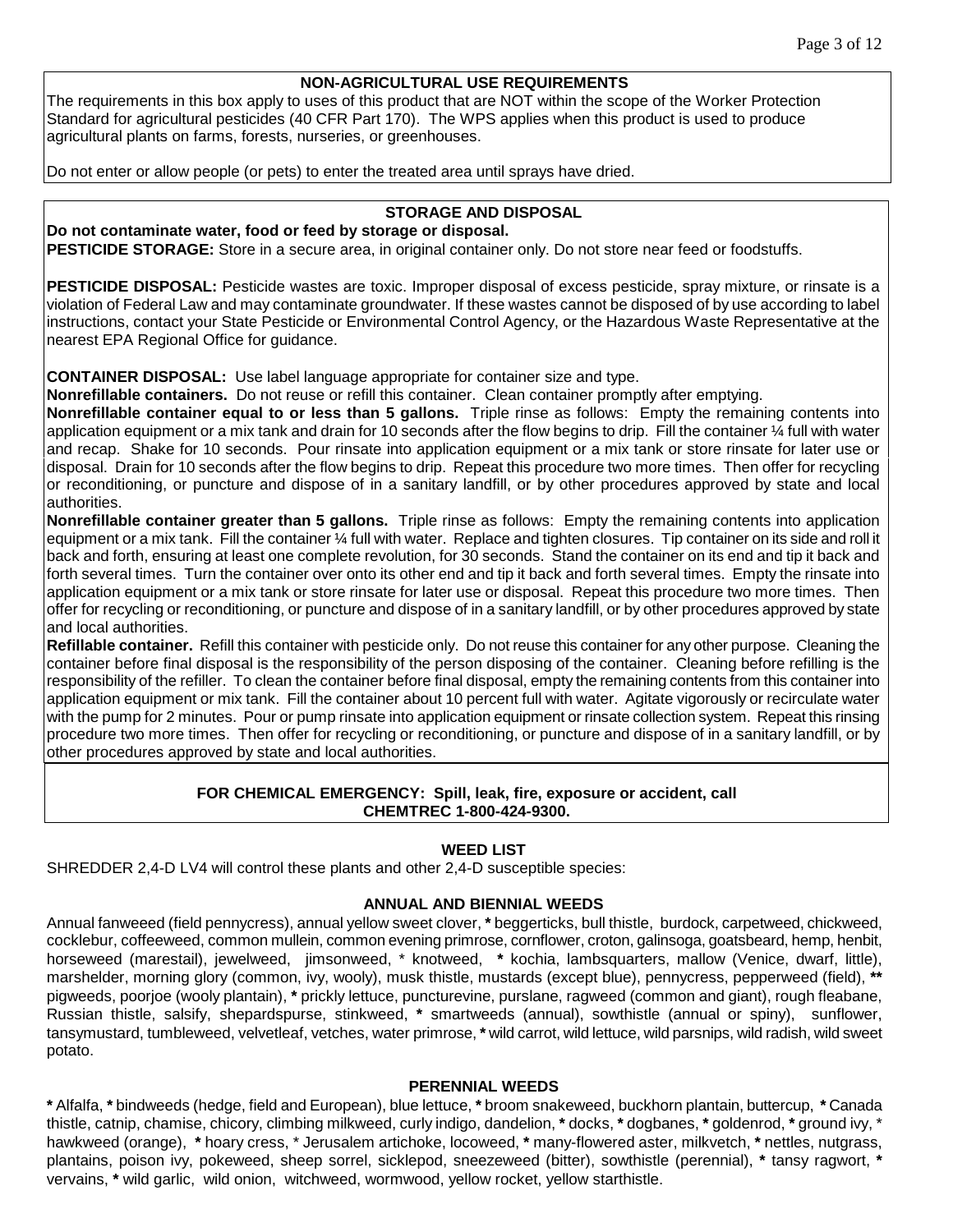#### **NON-AGRICULTURAL USE REQUIREMENTS**

The requirements in this box apply to uses of this product that are NOT within the scope of the Worker Protection Standard for agricultural pesticides (40 CFR Part 170). The WPS applies when this product is used to produce agricultural plants on farms, forests, nurseries, or greenhouses.

Do not enter or allow people (or pets) to enter the treated area until sprays have dried.

## **STORAGE AND DISPOSAL**

**Do not contaminate water, food or feed by storage or disposal. PESTICIDE STORAGE:** Store in a secure area, in original container only. Do not store near feed or foodstuffs.

**PESTICIDE DISPOSAL:** Pesticide wastes are toxic. Improper disposal of excess pesticide, spray mixture, or rinsate is a violation of Federal Law and may contaminate groundwater. If these wastes cannot be disposed of by use according to label instructions, contact your State Pesticide or Environmental Control Agency, or the Hazardous Waste Representative at the nearest EPA Regional Office for guidance.

**CONTAINER DISPOSAL:** Use label language appropriate for container size and type.

**Nonrefillable containers.** Do not reuse or refill this container. Clean container promptly after emptying.

**Nonrefillable container equal to or less than 5 gallons.** Triple rinse as follows: Empty the remaining contents into application equipment or a mix tank and drain for 10 seconds after the flow begins to drip. Fill the container ¼ full with water and recap. Shake for 10 seconds. Pour rinsate into application equipment or a mix tank or store rinsate for later use or disposal. Drain for 10 seconds after the flow begins to drip. Repeat this procedure two more times. Then offer for recycling or reconditioning, or puncture and dispose of in a sanitary landfill, or by other procedures approved by state and local authorities.

**Nonrefillable container greater than 5 gallons.** Triple rinse as follows: Empty the remaining contents into application equipment or a mix tank. Fill the container ¼ full with water. Replace and tighten closures. Tip container on its side and roll it back and forth, ensuring at least one complete revolution, for 30 seconds. Stand the container on its end and tip it back and forth several times. Turn the container over onto its other end and tip it back and forth several times. Empty the rinsate into application equipment or a mix tank or store rinsate for later use or disposal. Repeat this procedure two more times. Then offer for recycling or reconditioning, or puncture and dispose of in a sanitary landfill, or by other procedures approved by state and local authorities.

**Refillable container.** Refill this container with pesticide only. Do not reuse this container for any other purpose. Cleaning the container before final disposal is the responsibility of the person disposing of the container. Cleaning before refilling is the responsibility of the refiller. To clean the container before final disposal, empty the remaining contents from this container into application equipment or mix tank. Fill the container about 10 percent full with water. Agitate vigorously or recirculate water with the pump for 2 minutes. Pour or pump rinsate into application equipment or rinsate collection system. Repeat this rinsing procedure two more times. Then offer for recycling or reconditioning, or puncture and dispose of in a sanitary landfill, or by other procedures approved by state and local authorities.

#### **FOR CHEMICAL EMERGENCY: Spill, leak, fire, exposure or accident, call CHEMTREC 1-800-424-9300.**

## **WEED LIST**

SHREDDER 2,4-D LV4 will control these plants and other 2,4-D susceptible species:

#### **ANNUAL AND BIENNIAL WEEDS**

Annual fanweeed (field pennycress), annual yellow sweet clover, **\*** beggerticks, bull thistle, burdock, carpetweed, chickweed, cocklebur, coffeeweed, common mullein, common evening primrose, cornflower, croton, galinsoga, goatsbeard, hemp, henbit, horseweed (marestail), jewelweed, jimsonweed, \* knotweed, **\*** kochia, lambsquarters, mallow (Venice, dwarf, little), marshelder, morning glory (common, ivy, wooly), musk thistle, mustards (except blue), pennycress, pepperweed (field), **\*\***  pigweeds, poorjoe (wooly plantain), **\*** prickly lettuce, puncturevine, purslane, ragweed (common and giant), rough fleabane, Russian thistle, salsify, shepardspurse, stinkweed, **\*** smartweeds (annual), sowthistle (annual or spiny), sunflower, tansymustard, tumbleweed, velvetleaf, vetches, water primrose, **\*** wild carrot, wild lettuce, wild parsnips, wild radish, wild sweet potato.

#### **PERENNIAL WEEDS**

**\*** Alfalfa, **\*** bindweeds (hedge, field and European), blue lettuce, **\*** broom snakeweed, buckhorn plantain, buttercup, **\*** Canada thistle, catnip, chamise, chicory, climbing milkweed, curly indigo, dandelion, **\*** docks, **\*** dogbanes, **\*** goldenrod, **\*** ground ivy, \* hawkweed (orange), **\*** hoary cress, \* Jerusalem artichoke, locoweed, **\*** many-flowered aster, milkvetch, **\*** nettles, nutgrass, plantains, poison ivy, pokeweed, sheep sorrel, sicklepod, sneezeweed (bitter), sowthistle (perennial), **\*** tansy ragwort, **\*** vervains, **\*** wild garlic, wild onion, witchweed, wormwood, yellow rocket, yellow starthistle.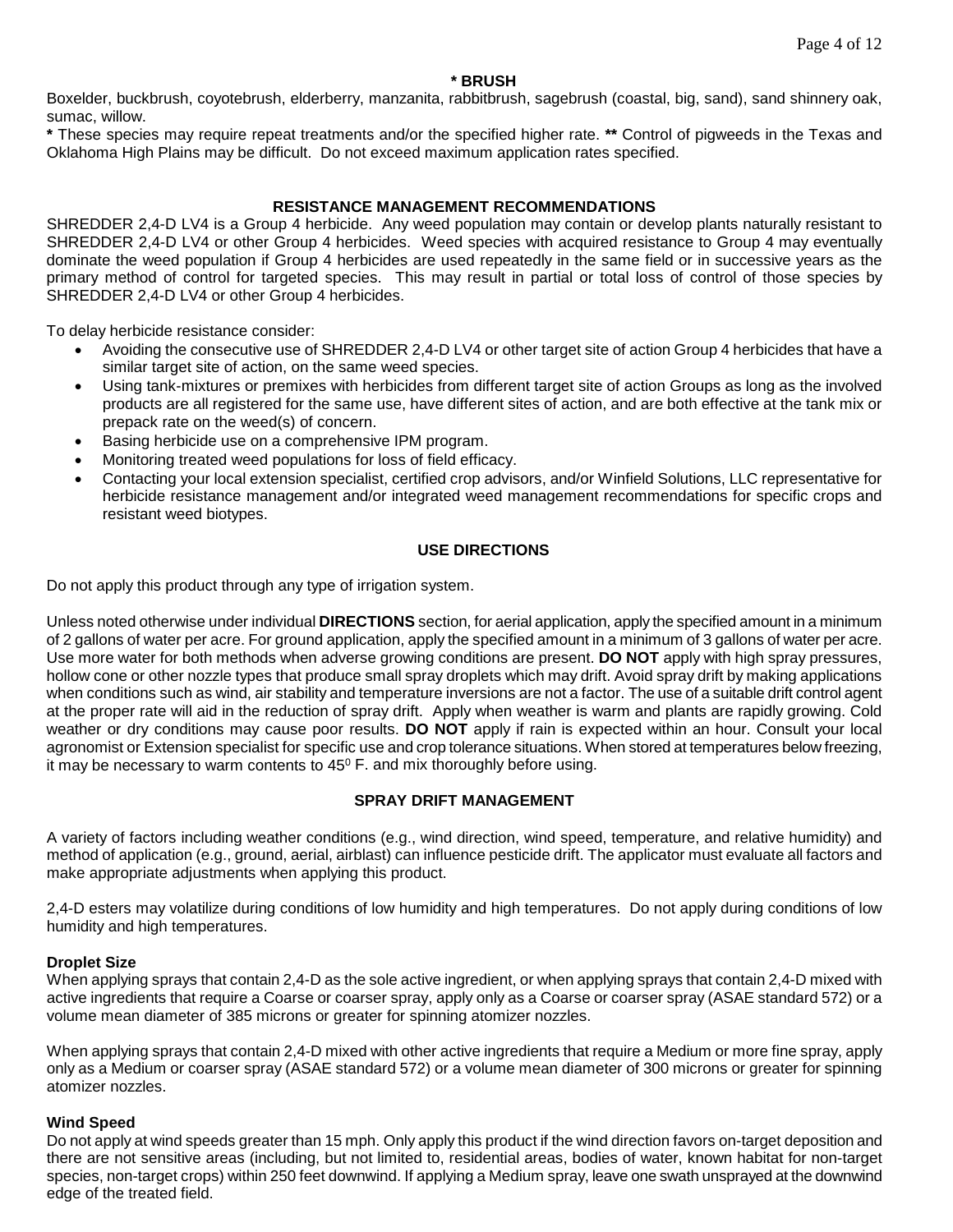#### **\* BRUSH**

Boxelder, buckbrush, coyotebrush, elderberry, manzanita, rabbitbrush, sagebrush (coastal, big, sand), sand shinnery oak, sumac, willow.

**\*** These species may require repeat treatments and/or the specified higher rate. **\*\*** Control of pigweeds in the Texas and Oklahoma High Plains may be difficult. Do not exceed maximum application rates specified.

#### **RESISTANCE MANAGEMENT RECOMMENDATIONS**

SHREDDER 2,4-D LV4 is a Group 4 herbicide. Any weed population may contain or develop plants naturally resistant to SHREDDER 2,4-D LV4 or other Group 4 herbicides. Weed species with acquired resistance to Group 4 may eventually dominate the weed population if Group 4 herbicides are used repeatedly in the same field or in successive years as the primary method of control for targeted species. This may result in partial or total loss of control of those species by SHREDDER 2,4-D LV4 or other Group 4 herbicides.

To delay herbicide resistance consider:

- Avoiding the consecutive use of SHREDDER 2,4-D LV4 or other target site of action Group 4 herbicides that have a similar target site of action, on the same weed species.
- Using tank-mixtures or premixes with herbicides from different target site of action Groups as long as the involved products are all registered for the same use, have different sites of action, and are both effective at the tank mix or prepack rate on the weed(s) of concern.
- Basing herbicide use on a comprehensive IPM program.
- Monitoring treated weed populations for loss of field efficacy.
- Contacting your local extension specialist, certified crop advisors, and/or Winfield Solutions, LLC representative for herbicide resistance management and/or integrated weed management recommendations for specific crops and resistant weed biotypes.

#### **USE DIRECTIONS**

Do not apply this product through any type of irrigation system.

Unless noted otherwise under individual **DIRECTIONS** section, for aerial application, apply the specified amount in a minimum of 2 gallons of water per acre. For ground application, apply the specified amount in a minimum of 3 gallons of water per acre. Use more water for both methods when adverse growing conditions are present. **DO NOT** apply with high spray pressures, hollow cone or other nozzle types that produce small spray droplets which may drift. Avoid spray drift by making applications when conditions such as wind, air stability and temperature inversions are not a factor. The use of a suitable drift control agent at the proper rate will aid in the reduction of spray drift. Apply when weather is warm and plants are rapidly growing. Cold weather or dry conditions may cause poor results. **DO NOT** apply if rain is expected within an hour. Consult your local agronomist or Extension specialist for specific use and crop tolerance situations. When stored at temperatures below freezing, it may be necessary to warm contents to  $45^{\circ}$  F. and mix thoroughly before using.

#### **SPRAY DRIFT MANAGEMENT**

A variety of factors including weather conditions (e.g., wind direction, wind speed, temperature, and relative humidity) and method of application (e.g., ground, aerial, airblast) can influence pesticide drift. The applicator must evaluate all factors and make appropriate adjustments when applying this product.

2,4-D esters may volatilize during conditions of low humidity and high temperatures. Do not apply during conditions of low humidity and high temperatures.

#### **Droplet Size**

When applying sprays that contain 2,4-D as the sole active ingredient, or when applying sprays that contain 2,4-D mixed with active ingredients that require a Coarse or coarser spray, apply only as a Coarse or coarser spray (ASAE standard 572) or a volume mean diameter of 385 microns or greater for spinning atomizer nozzles.

When applying sprays that contain 2,4-D mixed with other active ingredients that require a Medium or more fine spray, apply only as a Medium or coarser spray (ASAE standard 572) or a volume mean diameter of 300 microns or greater for spinning atomizer nozzles.

#### **Wind Speed**

Do not apply at wind speeds greater than 15 mph. Only apply this product if the wind direction favors on-target deposition and there are not sensitive areas (including, but not limited to, residential areas, bodies of water, known habitat for non-target species, non-target crops) within 250 feet downwind. If applying a Medium spray, leave one swath unsprayed at the downwind edge of the treated field.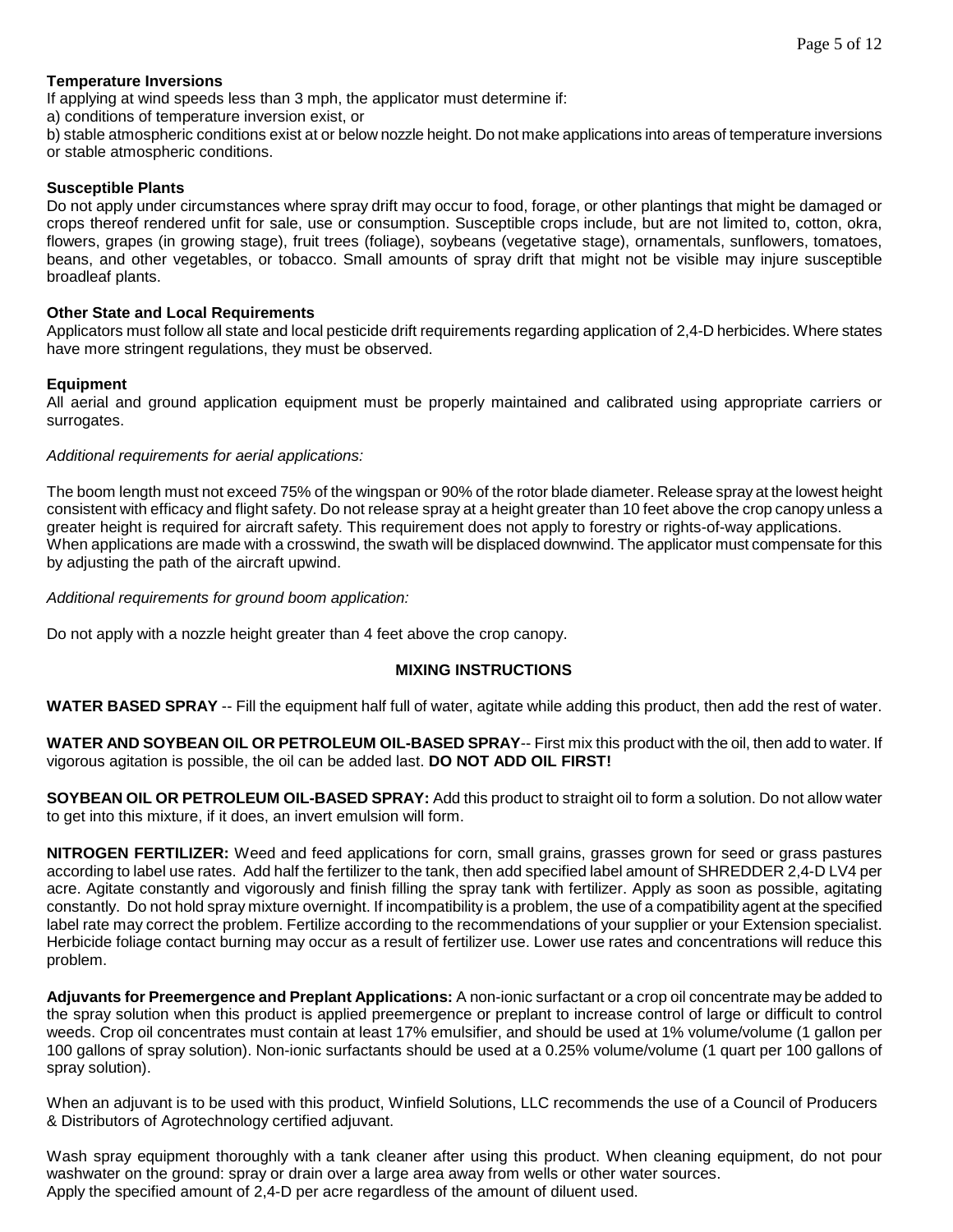#### **Temperature Inversions**

If applying at wind speeds less than 3 mph, the applicator must determine if:

a) conditions of temperature inversion exist, or

b) stable atmospheric conditions exist at or below nozzle height. Do not make applications into areas of temperature inversions or stable atmospheric conditions.

#### **Susceptible Plants**

Do not apply under circumstances where spray drift may occur to food, forage, or other plantings that might be damaged or crops thereof rendered unfit for sale, use or consumption. Susceptible crops include, but are not limited to, cotton, okra, flowers, grapes (in growing stage), fruit trees (foliage), soybeans (vegetative stage), ornamentals, sunflowers, tomatoes, beans, and other vegetables, or tobacco. Small amounts of spray drift that might not be visible may injure susceptible broadleaf plants.

#### **Other State and Local Requirements**

Applicators must follow all state and local pesticide drift requirements regarding application of 2,4-D herbicides. Where states have more stringent regulations, they must be observed.

#### **Equipment**

All aerial and ground application equipment must be properly maintained and calibrated using appropriate carriers or surrogates.

#### *Additional requirements for aerial applications:*

The boom length must not exceed 75% of the wingspan or 90% of the rotor blade diameter. Release spray at the lowest height consistent with efficacy and flight safety. Do not release spray at a height greater than 10 feet above the crop canopy unless a greater height is required for aircraft safety. This requirement does not apply to forestry or rights-of-way applications. When applications are made with a crosswind, the swath will be displaced downwind. The applicator must compensate for this by adjusting the path of the aircraft upwind.

*Additional requirements for ground boom application:*

Do not apply with a nozzle height greater than 4 feet above the crop canopy.

## **MIXING INSTRUCTIONS**

**WATER BASED SPRAY** -- Fill the equipment half full of water, agitate while adding this product, then add the rest of water.

**WATER AND SOYBEAN OIL OR PETROLEUM OIL-BASED SPRAY**-- First mix this product with the oil, then add to water. If vigorous agitation is possible, the oil can be added last. **DO NOT ADD OIL FIRST!**

**SOYBEAN OIL OR PETROLEUM OIL-BASED SPRAY:** Add this product to straight oil to form a solution. Do not allow water to get into this mixture, if it does, an invert emulsion will form.

**NITROGEN FERTILIZER:** Weed and feed applications for corn, small grains, grasses grown for seed or grass pastures according to label use rates. Add half the fertilizer to the tank, then add specified label amount of SHREDDER 2,4-D LV4 per acre. Agitate constantly and vigorously and finish filling the spray tank with fertilizer. Apply as soon as possible, agitating constantly. Do not hold spray mixture overnight. If incompatibility is a problem, the use of a compatibility agent at the specified label rate may correct the problem. Fertilize according to the recommendations of your supplier or your Extension specialist. Herbicide foliage contact burning may occur as a result of fertilizer use. Lower use rates and concentrations will reduce this problem.

**Adjuvants for Preemergence and Preplant Applications:** A non-ionic surfactant or a crop oil concentrate may be added to the spray solution when this product is applied preemergence or preplant to increase control of large or difficult to control weeds. Crop oil concentrates must contain at least 17% emulsifier, and should be used at 1% volume/volume (1 gallon per 100 gallons of spray solution). Non-ionic surfactants should be used at a 0.25% volume/volume (1 quart per 100 gallons of spray solution).

When an adjuvant is to be used with this product, Winfield Solutions, LLC recommends the use of a Council of Producers & Distributors of Agrotechnology certified adjuvant.

Wash spray equipment thoroughly with a tank cleaner after using this product. When cleaning equipment, do not pour washwater on the ground: spray or drain over a large area away from wells or other water sources. Apply the specified amount of 2,4-D per acre regardless of the amount of diluent used.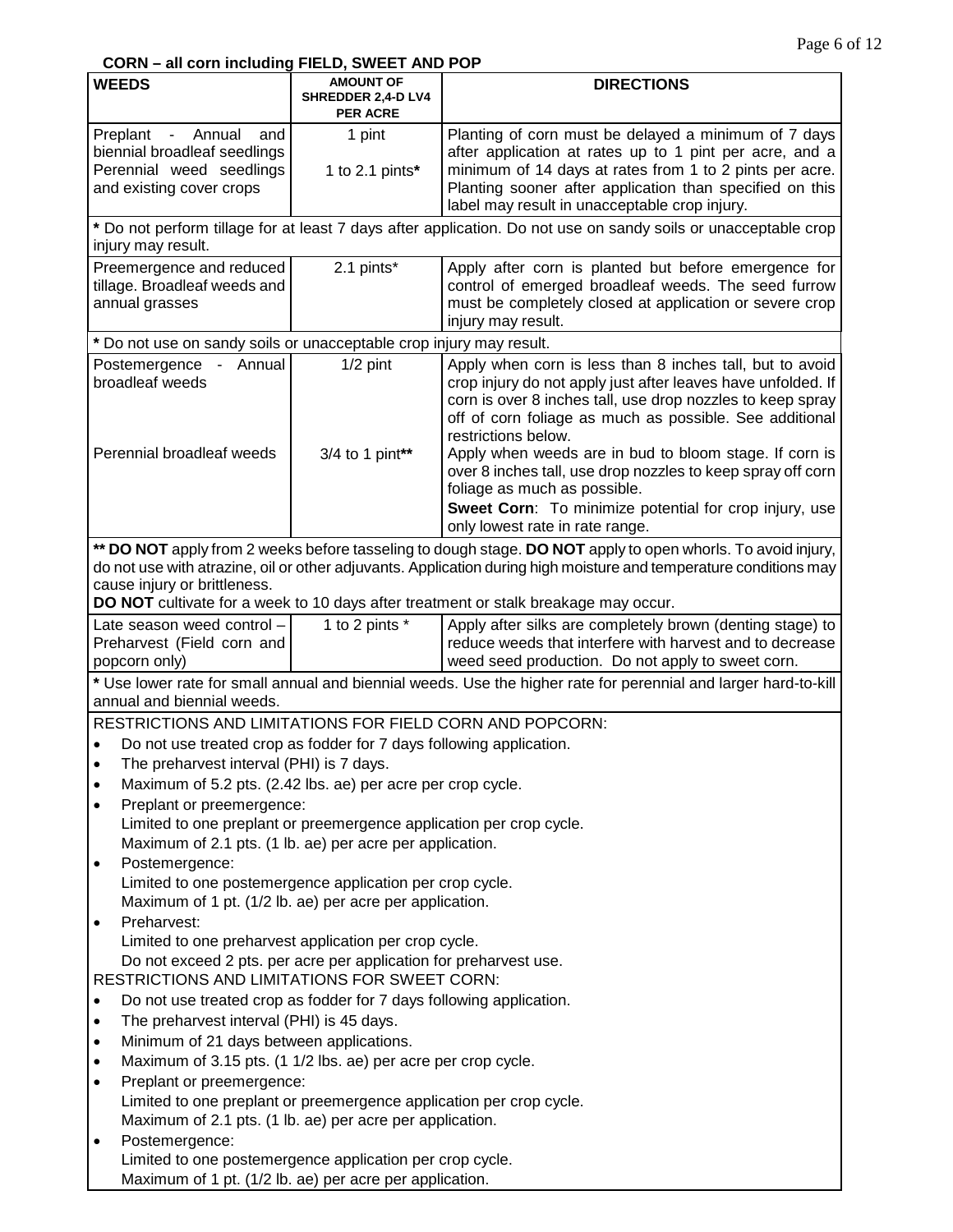## **CORN – all corn including FIELD, SWEET AND POP**

| <b>WEEDS</b>                                                                                                                    | <b>AMOUNT OF</b><br>SHREDDER 2,4-D LV4                  | <b>DIRECTIONS</b>                                                                                                                                                                                                                                                                                                                                                                                                                 |  |
|---------------------------------------------------------------------------------------------------------------------------------|---------------------------------------------------------|-----------------------------------------------------------------------------------------------------------------------------------------------------------------------------------------------------------------------------------------------------------------------------------------------------------------------------------------------------------------------------------------------------------------------------------|--|
|                                                                                                                                 | <b>PER ACRE</b>                                         |                                                                                                                                                                                                                                                                                                                                                                                                                                   |  |
| - Annual<br>Preplant<br>and<br>biennial broadleaf seedlings<br>Perennial weed seedlings<br>and existing cover crops             | 1 pint<br>1 to 2.1 pints $*$                            | Planting of corn must be delayed a minimum of 7 days<br>after application at rates up to 1 pint per acre, and a<br>minimum of 14 days at rates from 1 to 2 pints per acre.<br>Planting sooner after application than specified on this<br>label may result in unacceptable crop injury.                                                                                                                                           |  |
| injury may result.                                                                                                              |                                                         | * Do not perform tillage for at least 7 days after application. Do not use on sandy soils or unacceptable crop                                                                                                                                                                                                                                                                                                                    |  |
| Preemergence and reduced<br>tillage. Broadleaf weeds and<br>annual grasses                                                      | 2.1 pints*                                              | Apply after corn is planted but before emergence for<br>control of emerged broadleaf weeds. The seed furrow<br>must be completely closed at application or severe crop<br>injury may result.                                                                                                                                                                                                                                      |  |
| * Do not use on sandy soils or unacceptable crop injury may result.                                                             |                                                         |                                                                                                                                                                                                                                                                                                                                                                                                                                   |  |
| Postemergence - Annual<br>broadleaf weeds<br>Perennial broadleaf weeds                                                          | $1/2$ pint<br>3/4 to 1 pint**                           | Apply when corn is less than 8 inches tall, but to avoid<br>crop injury do not apply just after leaves have unfolded. If<br>corn is over 8 inches tall, use drop nozzles to keep spray<br>off of corn foliage as much as possible. See additional<br>restrictions below.<br>Apply when weeds are in bud to bloom stage. If corn is<br>over 8 inches tall, use drop nozzles to keep spray off corn<br>foliage as much as possible. |  |
|                                                                                                                                 |                                                         | Sweet Corn: To minimize potential for crop injury, use<br>only lowest rate in rate range.                                                                                                                                                                                                                                                                                                                                         |  |
| cause injury or brittleness.                                                                                                    |                                                         | ** DO NOT apply from 2 weeks before tasseling to dough stage. DO NOT apply to open whorls. To avoid injury,<br>do not use with atrazine, oil or other adjuvants. Application during high moisture and temperature conditions may<br>DO NOT cultivate for a week to 10 days after treatment or stalk breakage may occur.                                                                                                           |  |
| Late season weed control -                                                                                                      | 1 to 2 pints *                                          | Apply after silks are completely brown (denting stage) to                                                                                                                                                                                                                                                                                                                                                                         |  |
| Preharvest (Field corn and<br>popcorn only)                                                                                     |                                                         | reduce weeds that interfere with harvest and to decrease<br>weed seed production. Do not apply to sweet corn.                                                                                                                                                                                                                                                                                                                     |  |
| * Use lower rate for small annual and biennial weeds. Use the higher rate for perennial and larger hard-to-kill                 |                                                         |                                                                                                                                                                                                                                                                                                                                                                                                                                   |  |
| annual and biennial weeds.                                                                                                      |                                                         |                                                                                                                                                                                                                                                                                                                                                                                                                                   |  |
| RESTRICTIONS AND LIMITATIONS FOR FIELD CORN AND POPCORN:                                                                        |                                                         |                                                                                                                                                                                                                                                                                                                                                                                                                                   |  |
| Do not use treated crop as fodder for 7 days following application.<br>$\bullet$                                                |                                                         |                                                                                                                                                                                                                                                                                                                                                                                                                                   |  |
| The preharvest interval (PHI) is 7 days.<br>$\bullet$                                                                           |                                                         |                                                                                                                                                                                                                                                                                                                                                                                                                                   |  |
| Maximum of 5.2 pts. (2.42 lbs. ae) per acre per crop cycle.<br>$\bullet$                                                        |                                                         |                                                                                                                                                                                                                                                                                                                                                                                                                                   |  |
| Preplant or preemergence:<br>$\bullet$                                                                                          |                                                         |                                                                                                                                                                                                                                                                                                                                                                                                                                   |  |
| Limited to one preplant or preemergence application per crop cycle.                                                             |                                                         |                                                                                                                                                                                                                                                                                                                                                                                                                                   |  |
| Maximum of 2.1 pts. (1 lb. ae) per acre per application.                                                                        |                                                         |                                                                                                                                                                                                                                                                                                                                                                                                                                   |  |
| Postemergence:<br>$\bullet$<br>Limited to one postemergence application per crop cycle.                                         |                                                         |                                                                                                                                                                                                                                                                                                                                                                                                                                   |  |
|                                                                                                                                 |                                                         |                                                                                                                                                                                                                                                                                                                                                                                                                                   |  |
| Preharvest:<br>$\bullet$                                                                                                        | Maximum of 1 pt. (1/2 lb. ae) per acre per application. |                                                                                                                                                                                                                                                                                                                                                                                                                                   |  |
| Limited to one preharvest application per crop cycle.                                                                           |                                                         |                                                                                                                                                                                                                                                                                                                                                                                                                                   |  |
| Do not exceed 2 pts. per acre per application for preharvest use.                                                               |                                                         |                                                                                                                                                                                                                                                                                                                                                                                                                                   |  |
| RESTRICTIONS AND LIMITATIONS FOR SWEET CORN:                                                                                    |                                                         |                                                                                                                                                                                                                                                                                                                                                                                                                                   |  |
| Do not use treated crop as fodder for 7 days following application.<br>$\bullet$                                                |                                                         |                                                                                                                                                                                                                                                                                                                                                                                                                                   |  |
| $\bullet$                                                                                                                       | The preharvest interval (PHI) is 45 days.               |                                                                                                                                                                                                                                                                                                                                                                                                                                   |  |
| $\bullet$                                                                                                                       | Minimum of 21 days between applications.                |                                                                                                                                                                                                                                                                                                                                                                                                                                   |  |
| Maximum of 3.15 pts. (1 1/2 lbs. ae) per acre per crop cycle.<br>$\bullet$                                                      |                                                         |                                                                                                                                                                                                                                                                                                                                                                                                                                   |  |
| Preplant or preemergence:<br>$\bullet$                                                                                          |                                                         |                                                                                                                                                                                                                                                                                                                                                                                                                                   |  |
| Limited to one preplant or preemergence application per crop cycle.<br>Maximum of 2.1 pts. (1 lb. ae) per acre per application. |                                                         |                                                                                                                                                                                                                                                                                                                                                                                                                                   |  |
| Postemergence:<br>$\bullet$                                                                                                     |                                                         |                                                                                                                                                                                                                                                                                                                                                                                                                                   |  |
| Limited to one postemergence application per crop cycle.<br>Maximum of 1 pt. (1/2 lb. ae) per acre per application.             |                                                         |                                                                                                                                                                                                                                                                                                                                                                                                                                   |  |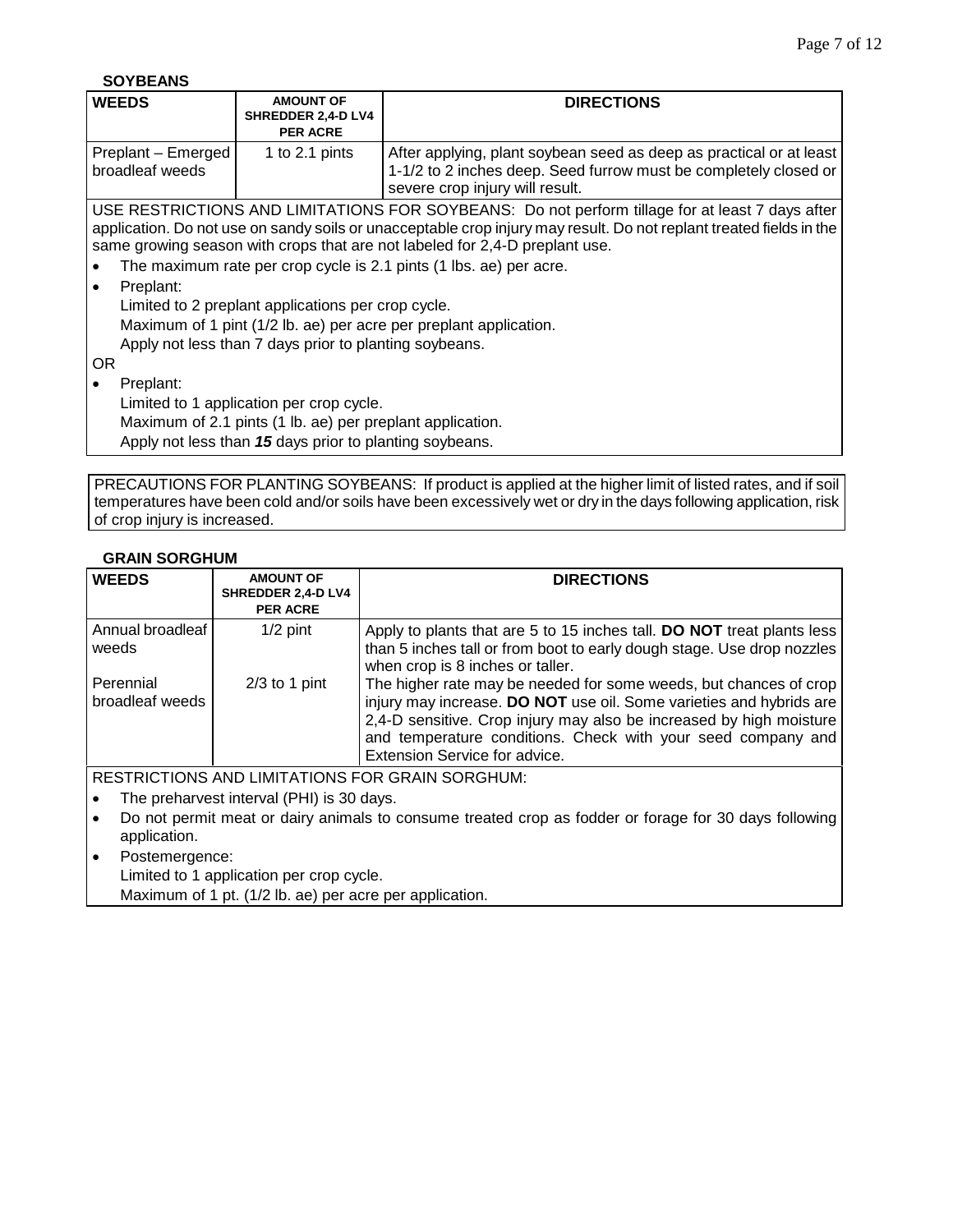**SOYBEANS**

| <b>WEEDS</b>                          | <b>AMOUNT OF</b><br>SHREDDER 2,4-D LV4<br><b>PER ACRE</b>                                                            | <b>DIRECTIONS</b>                                                                                                                                                                                                                                                                                                                                                                                                                                |  |  |  |
|---------------------------------------|----------------------------------------------------------------------------------------------------------------------|--------------------------------------------------------------------------------------------------------------------------------------------------------------------------------------------------------------------------------------------------------------------------------------------------------------------------------------------------------------------------------------------------------------------------------------------------|--|--|--|
| Preplant - Emerged<br>broadleaf weeds | 1 to 2.1 pints                                                                                                       | After applying, plant soybean seed as deep as practical or at least<br>1-1/2 to 2 inches deep. Seed furrow must be completely closed or<br>severe crop injury will result.                                                                                                                                                                                                                                                                       |  |  |  |
| Preplant:                             | Limited to 2 preplant applications per crop cycle.<br>Apply not less than 7 days prior to planting soybeans.         | USE RESTRICTIONS AND LIMITATIONS FOR SOYBEANS: Do not perform tillage for at least 7 days after<br>application. Do not use on sandy soils or unacceptable crop injury may result. Do not replant treated fields in the<br>same growing season with crops that are not labeled for 2,4-D preplant use.<br>The maximum rate per crop cycle is 2.1 pints (1 lbs. ae) per acre.<br>Maximum of 1 pint (1/2 lb. ae) per acre per preplant application. |  |  |  |
| 0R                                    |                                                                                                                      |                                                                                                                                                                                                                                                                                                                                                                                                                                                  |  |  |  |
| Preplant:                             | Limited to 1 application per crop cycle.                                                                             |                                                                                                                                                                                                                                                                                                                                                                                                                                                  |  |  |  |
|                                       | Maximum of 2.1 pints (1 lb. ae) per preplant application.<br>Apply not less than 15 days prior to planting soybeans. |                                                                                                                                                                                                                                                                                                                                                                                                                                                  |  |  |  |

PRECAUTIONS FOR PLANTING SOYBEANS: If product is applied at the higher limit of listed rates, and if soil temperatures have been cold and/or soils have been excessively wet or dry in the days following application, risk of crop injury is increased.

## **GRAIN SORGHUM**

| <b>WEEDS</b>                   | <b>AMOUNT OF</b><br>SHREDDER 2,4-D LV4<br><b>PER ACRE</b> | <b>DIRECTIONS</b>                                                                                                                                                                                                                                                                                                |
|--------------------------------|-----------------------------------------------------------|------------------------------------------------------------------------------------------------------------------------------------------------------------------------------------------------------------------------------------------------------------------------------------------------------------------|
| Annual broadleaf<br>weeds      | $1/2$ pint                                                | Apply to plants that are 5 to 15 inches tall. DO NOT treat plants less<br>than 5 inches tall or from boot to early dough stage. Use drop nozzles<br>when crop is 8 inches or taller.                                                                                                                             |
| l Perennial<br>broadleaf weeds | $2/3$ to 1 pint                                           | The higher rate may be needed for some weeds, but chances of crop<br>injury may increase. DO NOT use oil. Some varieties and hybrids are<br>2,4-D sensitive. Crop injury may also be increased by high moisture<br>and temperature conditions. Check with your seed company and<br>Extension Service for advice. |

RESTRICTIONS AND LIMITATIONS FOR GRAIN SORGHUM:

• The preharvest interval (PHI) is 30 days.

- Do not permit meat or dairy animals to consume treated crop as fodder or forage for 30 days following application.
- Postemergence:

Limited to 1 application per crop cycle.

Maximum of 1 pt. (1/2 lb. ae) per acre per application.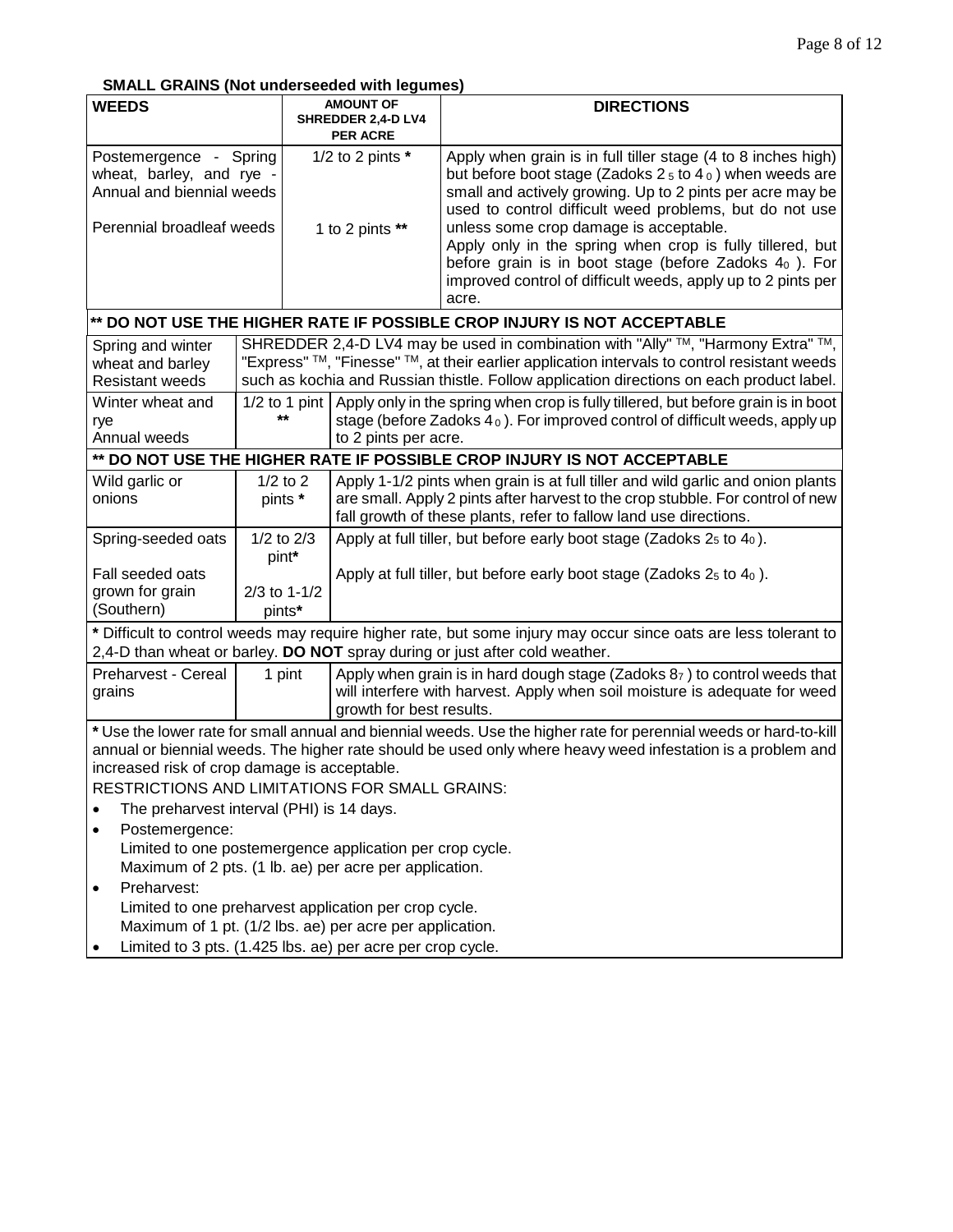## **SMALL GRAINS (Not underseeded with legumes)**

| <b>WEEDS</b>                                                                                                                                                                                                                                                                                                                       |                                                                                                                    | <u>.</u><br><b>AMOUNT OF</b><br>SHREDDER 2,4-D LV4       |                          | <b>DIRECTIONS</b>                                                                                                                                                                                                                                                                                                                                                                                                                                                                                |
|------------------------------------------------------------------------------------------------------------------------------------------------------------------------------------------------------------------------------------------------------------------------------------------------------------------------------------|--------------------------------------------------------------------------------------------------------------------|----------------------------------------------------------|--------------------------|--------------------------------------------------------------------------------------------------------------------------------------------------------------------------------------------------------------------------------------------------------------------------------------------------------------------------------------------------------------------------------------------------------------------------------------------------------------------------------------------------|
| Postemergence - Spring<br>wheat, barley, and rye -<br>Annual and biennial weeds<br>Perennial broadleaf weeds                                                                                                                                                                                                                       |                                                                                                                    | <b>PER ACRE</b><br>1/2 to 2 pints $*$<br>1 to 2 pints ** |                          | Apply when grain is in full tiller stage (4 to 8 inches high)<br>but before boot stage (Zadoks $25$ to $40$ ) when weeds are<br>small and actively growing. Up to 2 pints per acre may be<br>used to control difficult weed problems, but do not use<br>unless some crop damage is acceptable.<br>Apply only in the spring when crop is fully tillered, but<br>before grain is in boot stage (before Zadoks $40$ ). For<br>improved control of difficult weeds, apply up to 2 pints per<br>acre. |
|                                                                                                                                                                                                                                                                                                                                    |                                                                                                                    |                                                          |                          | ** DO NOT USE THE HIGHER RATE IF POSSIBLE CROP INJURY IS NOT ACCEPTABLE                                                                                                                                                                                                                                                                                                                                                                                                                          |
| Spring and winter<br>wheat and barley<br><b>Resistant weeds</b>                                                                                                                                                                                                                                                                    |                                                                                                                    |                                                          |                          | SHREDDER 2,4-D LV4 may be used in combination with "Ally" $TM$ , "Harmony Extra" $TM$ ,<br>"Express" TM, "Finesse" TM, at their earlier application intervals to control resistant weeds<br>such as kochia and Russian thistle. Follow application directions on each product label.                                                                                                                                                                                                             |
| Winter wheat and<br>rye<br>Annual weeds                                                                                                                                                                                                                                                                                            |                                                                                                                    | $1/2$ to 1 pint<br>$***$                                 | to 2 pints per acre.     | Apply only in the spring when crop is fully tillered, but before grain is in boot<br>stage (before Zadoks 4 <sub>0</sub> ). For improved control of difficult weeds, apply up                                                                                                                                                                                                                                                                                                                    |
|                                                                                                                                                                                                                                                                                                                                    |                                                                                                                    |                                                          |                          | ** DO NOT USE THE HIGHER RATE IF POSSIBLE CROP INJURY IS NOT ACCEPTABLE                                                                                                                                                                                                                                                                                                                                                                                                                          |
| Wild garlic or<br>onions                                                                                                                                                                                                                                                                                                           |                                                                                                                    | $1/2$ to $2$<br>pints *                                  |                          | Apply 1-1/2 pints when grain is at full tiller and wild garlic and onion plants<br>are small. Apply 2 pints after harvest to the crop stubble. For control of new<br>fall growth of these plants, refer to fallow land use directions.                                                                                                                                                                                                                                                           |
| Spring-seeded oats                                                                                                                                                                                                                                                                                                                 | pint*                                                                                                              | $1/2$ to $2/3$                                           |                          | Apply at full tiller, but before early boot stage (Zadoks $25$ to $40$ ).                                                                                                                                                                                                                                                                                                                                                                                                                        |
| Fall seeded oats<br>grown for grain<br>(Southern)                                                                                                                                                                                                                                                                                  | $2/3$ to 1-1/2<br>pints*                                                                                           |                                                          |                          | Apply at full tiller, but before early boot stage (Zadoks $25$ to $40$ ).                                                                                                                                                                                                                                                                                                                                                                                                                        |
| * Difficult to control weeds may require higher rate, but some injury may occur since oats are less tolerant to<br>2,4-D than wheat or barley. DO NOT spray during or just after cold weather.                                                                                                                                     |                                                                                                                    |                                                          |                          |                                                                                                                                                                                                                                                                                                                                                                                                                                                                                                  |
| Preharvest - Cereal<br>grains                                                                                                                                                                                                                                                                                                      |                                                                                                                    | 1 pint                                                   | growth for best results. | Apply when grain is in hard dough stage (Zadoks 87) to control weeds that<br>will interfere with harvest. Apply when soil moisture is adequate for weed                                                                                                                                                                                                                                                                                                                                          |
| * Use the lower rate for small annual and biennial weeds. Use the higher rate for perennial weeds or hard-to-kill<br>annual or biennial weeds. The higher rate should be used only where heavy weed infestation is a problem and<br>increased risk of crop damage is acceptable.<br>RESTRICTIONS AND LIMITATIONS FOR SMALL GRAINS: |                                                                                                                    |                                                          |                          |                                                                                                                                                                                                                                                                                                                                                                                                                                                                                                  |
| The preharvest interval (PHI) is 14 days.                                                                                                                                                                                                                                                                                          |                                                                                                                    |                                                          |                          |                                                                                                                                                                                                                                                                                                                                                                                                                                                                                                  |
| Postemergence:                                                                                                                                                                                                                                                                                                                     |                                                                                                                    |                                                          |                          |                                                                                                                                                                                                                                                                                                                                                                                                                                                                                                  |
|                                                                                                                                                                                                                                                                                                                                    | Limited to one postemergence application per crop cycle.<br>Maximum of 2 pts. (1 lb. ae) per acre per application. |                                                          |                          |                                                                                                                                                                                                                                                                                                                                                                                                                                                                                                  |
| Preharvest:                                                                                                                                                                                                                                                                                                                        |                                                                                                                    |                                                          |                          |                                                                                                                                                                                                                                                                                                                                                                                                                                                                                                  |
| Limited to one preharvest application per crop cycle.                                                                                                                                                                                                                                                                              |                                                                                                                    |                                                          |                          |                                                                                                                                                                                                                                                                                                                                                                                                                                                                                                  |
| Maximum of 1 pt. (1/2 lbs. ae) per acre per application.                                                                                                                                                                                                                                                                           |                                                                                                                    |                                                          |                          |                                                                                                                                                                                                                                                                                                                                                                                                                                                                                                  |
| Limited to 3 pts. (1.425 lbs. ae) per acre per crop cycle.                                                                                                                                                                                                                                                                         |                                                                                                                    |                                                          |                          |                                                                                                                                                                                                                                                                                                                                                                                                                                                                                                  |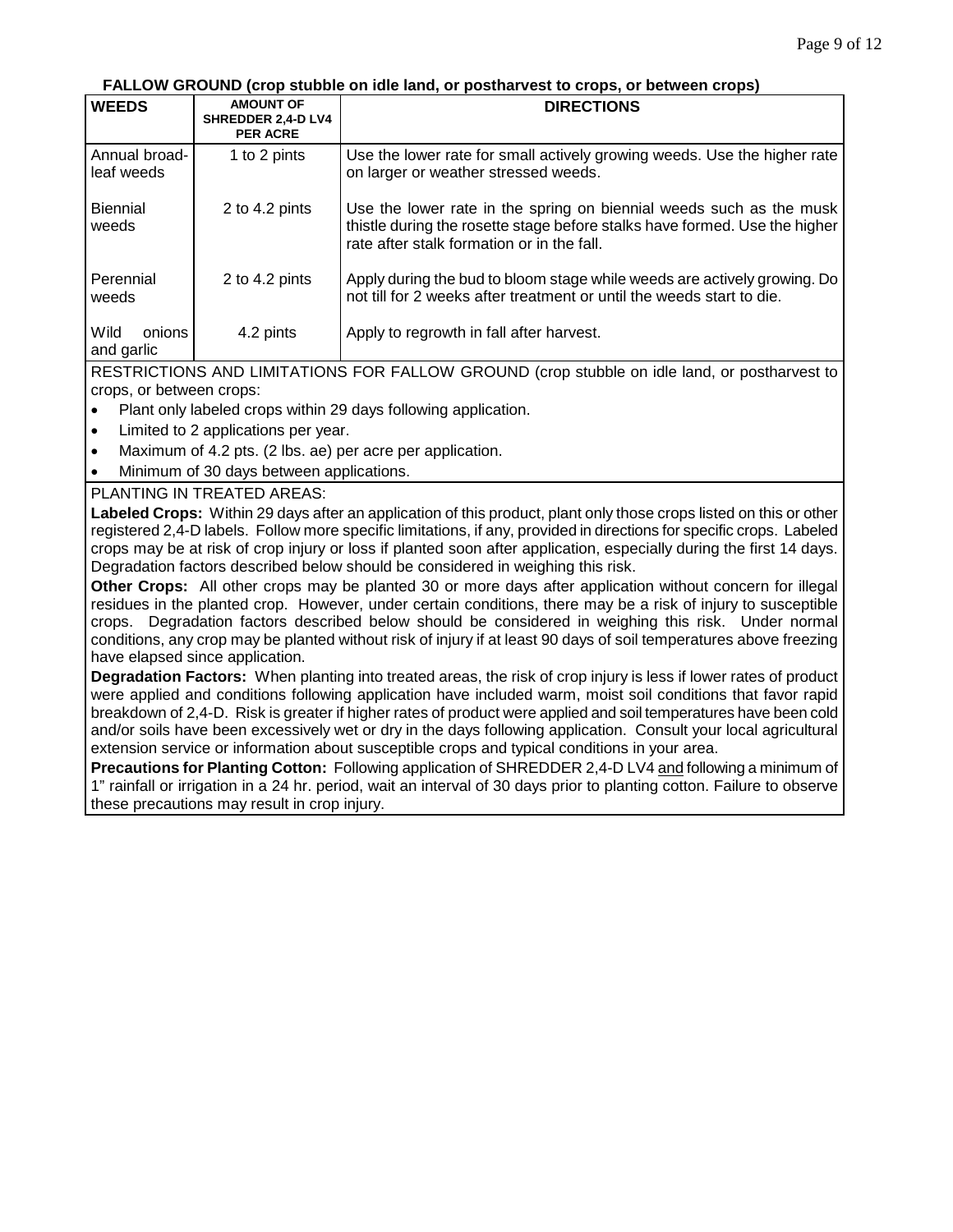#### **FALLOW GROUND (crop stubble on idle land, or postharvest to crops, or between crops)**

| <b>WEEDS</b>                 | <b>AMOUNT OF</b><br>SHREDDER 2,4-D LV4<br><b>PER ACRE</b> | <b>DIRECTIONS</b>                                                                                                                                                                               |
|------------------------------|-----------------------------------------------------------|-------------------------------------------------------------------------------------------------------------------------------------------------------------------------------------------------|
| Annual broad-<br>leaf weeds  | 1 to 2 pints                                              | Use the lower rate for small actively growing weeds. Use the higher rate<br>on larger or weather stressed weeds.                                                                                |
| <b>Biennial</b><br>weeds     | 2 to 4.2 pints                                            | Use the lower rate in the spring on biennial weeds such as the musk<br>thistle during the rosette stage before stalks have formed. Use the higher<br>rate after stalk formation or in the fall. |
| Perennial<br>weeds           | 2 to 4.2 pints                                            | Apply during the bud to bloom stage while weeds are actively growing. Do<br>not till for 2 weeks after treatment or until the weeds start to die.                                               |
| Wild<br>onions<br>and garlic | 4.2 pints                                                 | Apply to regrowth in fall after harvest.                                                                                                                                                        |

RESTRICTIONS AND LIMITATIONS FOR FALLOW GROUND (crop stubble on idle land, or postharvest to crops, or between crops:

- Plant only labeled crops within 29 days following application.
- Limited to 2 applications per year.
- Maximum of 4.2 pts. (2 lbs. ae) per acre per application.
- Minimum of 30 days between applications.

#### PLANTING IN TREATED AREAS:

**Labeled Crops:** Within 29 days after an application of this product, plant only those crops listed on this or other registered 2,4-D labels. Follow more specific limitations, if any, provided in directions for specific crops. Labeled crops may be at risk of crop injury or loss if planted soon after application, especially during the first 14 days. Degradation factors described below should be considered in weighing this risk.

**Other Crops:** All other crops may be planted 30 or more days after application without concern for illegal residues in the planted crop. However, under certain conditions, there may be a risk of injury to susceptible crops. Degradation factors described below should be considered in weighing this risk. Under normal conditions, any crop may be planted without risk of injury if at least 90 days of soil temperatures above freezing have elapsed since application.

**Degradation Factors:** When planting into treated areas, the risk of crop injury is less if lower rates of product were applied and conditions following application have included warm, moist soil conditions that favor rapid breakdown of 2,4-D. Risk is greater if higher rates of product were applied and soil temperatures have been cold and/or soils have been excessively wet or dry in the days following application. Consult your local agricultural extension service or information about susceptible crops and typical conditions in your area.

**Precautions for Planting Cotton:** Following application of SHREDDER 2,4-D LV4 and following a minimum of 1" rainfall or irrigation in a 24 hr. period, wait an interval of 30 days prior to planting cotton. Failure to observe these precautions may result in crop injury.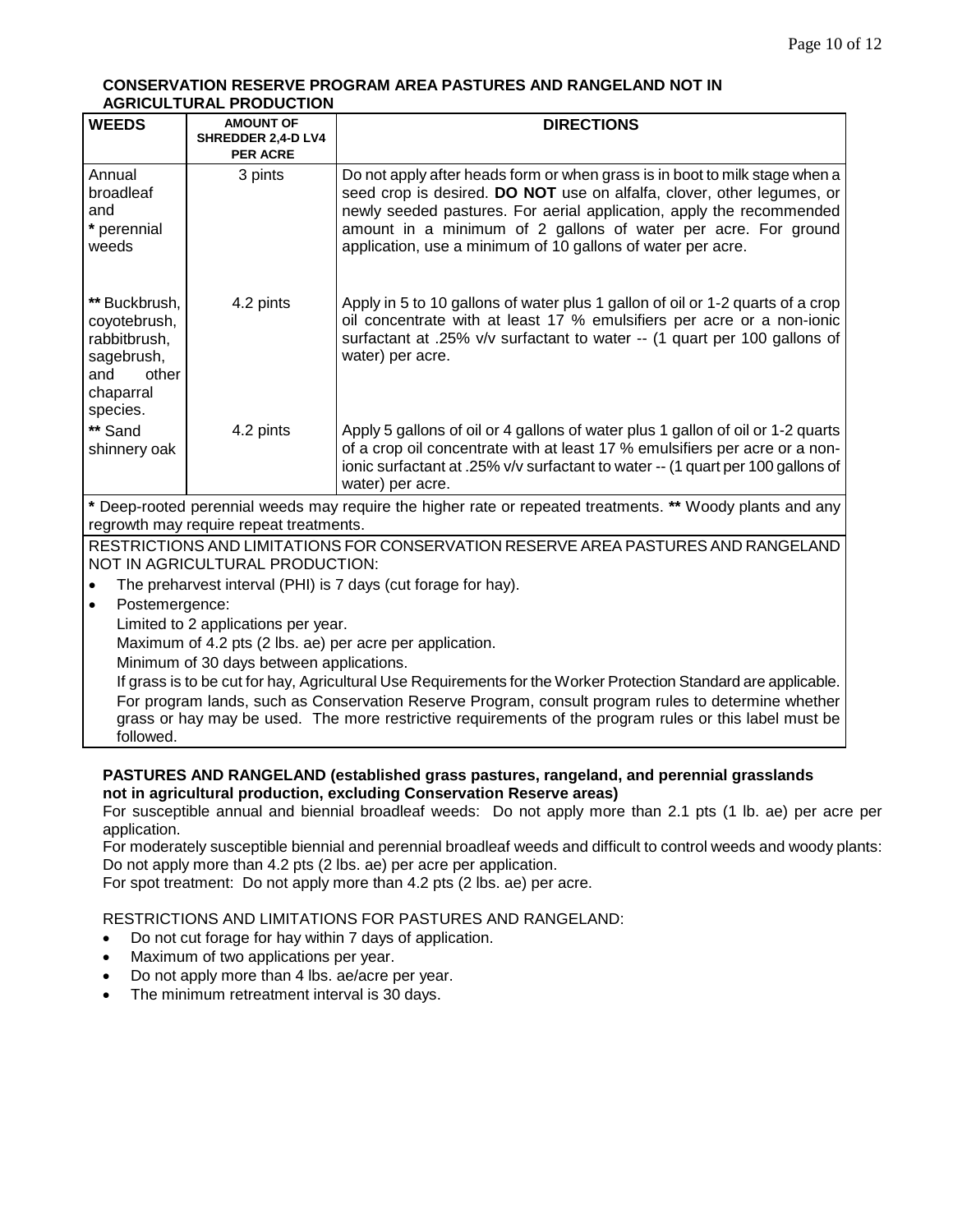#### **CONSERVATION RESERVE PROGRAM AREA PASTURES AND RANGELAND NOT IN AGRICULTURAL PRODUCTION**

| <b>WEEDS</b>                                                                                                                                         | <b>AMOUNT OF</b><br>SHREDDER 2,4-D LV4                                                                                                                                                                        | <b>DIRECTIONS</b>                                                                                                                                                                                                                                                                                                                                              |  |
|------------------------------------------------------------------------------------------------------------------------------------------------------|---------------------------------------------------------------------------------------------------------------------------------------------------------------------------------------------------------------|----------------------------------------------------------------------------------------------------------------------------------------------------------------------------------------------------------------------------------------------------------------------------------------------------------------------------------------------------------------|--|
|                                                                                                                                                      | <b>PER ACRE</b>                                                                                                                                                                                               |                                                                                                                                                                                                                                                                                                                                                                |  |
| Annual<br>broadleaf<br>and<br>* perennial<br>weeds                                                                                                   | 3 pints                                                                                                                                                                                                       | Do not apply after heads form or when grass is in boot to milk stage when a<br>seed crop is desired. DO NOT use on alfalfa, clover, other legumes, or<br>newly seeded pastures. For aerial application, apply the recommended<br>amount in a minimum of 2 gallons of water per acre. For ground<br>application, use a minimum of 10 gallons of water per acre. |  |
| ** Buckbrush,<br>coyotebrush,<br>rabbitbrush,<br>sagebrush,<br>other<br>and<br>chaparral<br>species.                                                 | 4.2 pints                                                                                                                                                                                                     | Apply in 5 to 10 gallons of water plus 1 gallon of oil or 1-2 quarts of a crop<br>oil concentrate with at least 17 % emulsifiers per acre or a non-ionic<br>surfactant at .25% v/v surfactant to water -- (1 quart per 100 gallons of<br>water) per acre.                                                                                                      |  |
| ** Sand<br>shinnery oak                                                                                                                              | 4.2 pints                                                                                                                                                                                                     | Apply 5 gallons of oil or 4 gallons of water plus 1 gallon of oil or 1-2 quarts<br>of a crop oil concentrate with at least 17 % emulsifiers per acre or a non-<br>ionic surfactant at .25% v/v surfactant to water -- (1 quart per 100 gallons of<br>water) per acre.                                                                                          |  |
| * Deep-rooted perennial weeds may require the higher rate or repeated treatments. ** Woody plants and any<br>regrowth may require repeat treatments. |                                                                                                                                                                                                               |                                                                                                                                                                                                                                                                                                                                                                |  |
| RESTRICTIONS AND LIMITATIONS FOR CONSERVATION RESERVE AREA PASTURES AND RANGELAND                                                                    |                                                                                                                                                                                                               |                                                                                                                                                                                                                                                                                                                                                                |  |
|                                                                                                                                                      | NOT IN AGRICULTURAL PRODUCTION:                                                                                                                                                                               |                                                                                                                                                                                                                                                                                                                                                                |  |
|                                                                                                                                                      | The preharvest interval (PHI) is 7 days (cut forage for hay).                                                                                                                                                 |                                                                                                                                                                                                                                                                                                                                                                |  |
| $\bullet$                                                                                                                                            | Postemergence:                                                                                                                                                                                                |                                                                                                                                                                                                                                                                                                                                                                |  |
| Limited to 2 applications per year.                                                                                                                  |                                                                                                                                                                                                               |                                                                                                                                                                                                                                                                                                                                                                |  |
|                                                                                                                                                      | Maximum of 4.2 pts (2 lbs. ae) per acre per application.                                                                                                                                                      |                                                                                                                                                                                                                                                                                                                                                                |  |
|                                                                                                                                                      | Minimum of 30 days between applications.                                                                                                                                                                      |                                                                                                                                                                                                                                                                                                                                                                |  |
|                                                                                                                                                      |                                                                                                                                                                                                               | If grass is to be cut for hay, Agricultural Use Requirements for the Worker Protection Standard are applicable.                                                                                                                                                                                                                                                |  |
| followed.                                                                                                                                            | For program lands, such as Conservation Reserve Program, consult program rules to determine whether<br>grass or hay may be used. The more restrictive requirements of the program rules or this label must be |                                                                                                                                                                                                                                                                                                                                                                |  |

## **PASTURES AND RANGELAND (established grass pastures, rangeland, and perennial grasslands not in agricultural production, excluding Conservation Reserve areas)**

For susceptible annual and biennial broadleaf weeds: Do not apply more than 2.1 pts (1 lb. ae) per acre per application.

For moderately susceptible biennial and perennial broadleaf weeds and difficult to control weeds and woody plants: Do not apply more than 4.2 pts (2 lbs. ae) per acre per application.

For spot treatment: Do not apply more than 4.2 pts (2 lbs. ae) per acre.

## RESTRICTIONS AND LIMITATIONS FOR PASTURES AND RANGELAND:

- Do not cut forage for hay within 7 days of application.
- Maximum of two applications per year.
- Do not apply more than 4 lbs. ae/acre per year.
- The minimum retreatment interval is 30 days.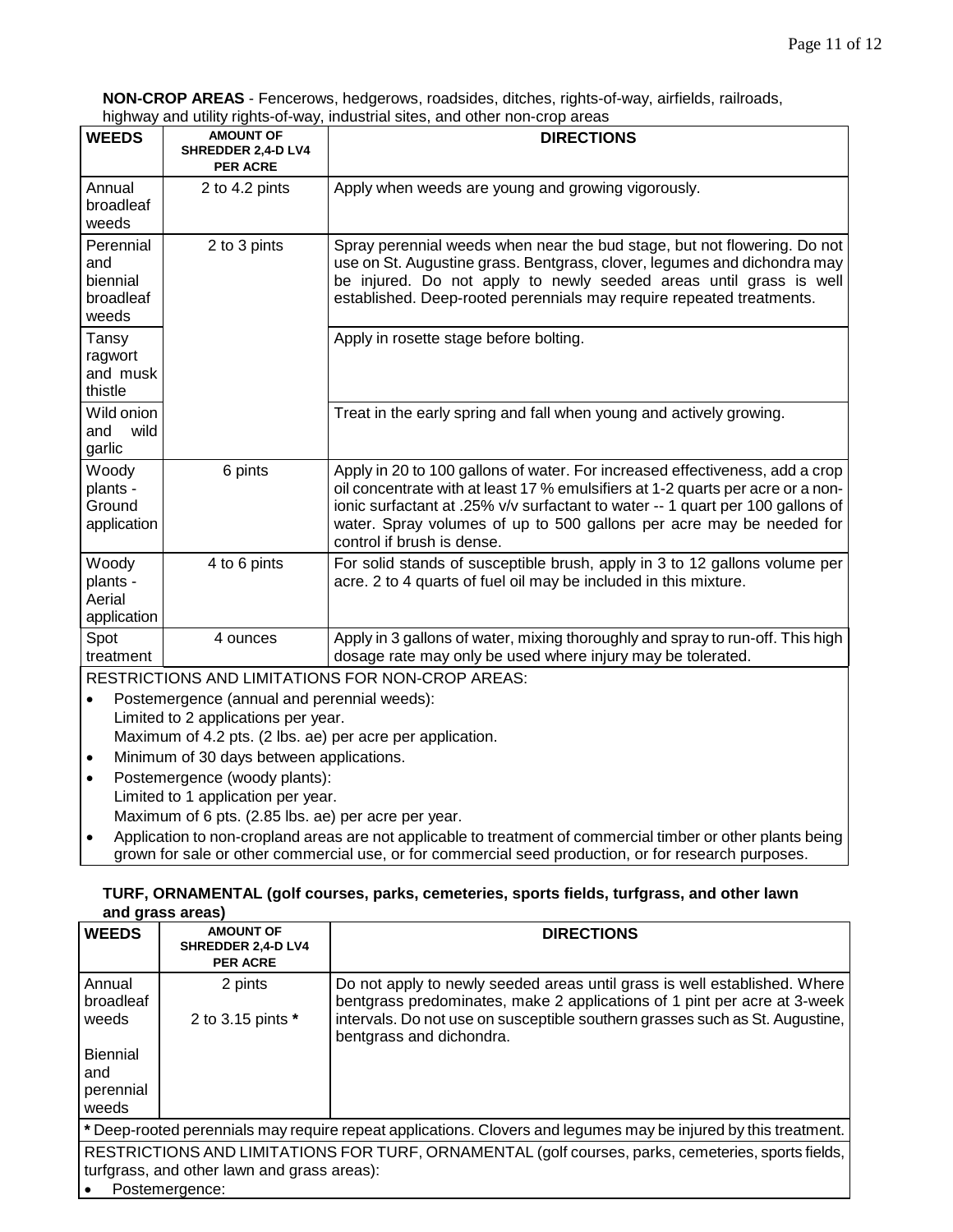**NON-CROP AREAS** - Fencerows, hedgerows, roadsides, ditches, rights-of-way, airfields, railroads, highway and utility rights-of-way, industrial sites, and other non-crop areas

|                                                    |                                                           | inginvay and dulity rights-or-way, industrial sites, and other non-crop areas                                                                                                                                                                                                                                                                           |
|----------------------------------------------------|-----------------------------------------------------------|---------------------------------------------------------------------------------------------------------------------------------------------------------------------------------------------------------------------------------------------------------------------------------------------------------------------------------------------------------|
| <b>WEEDS</b>                                       | <b>AMOUNT OF</b><br>SHREDDER 2,4-D LV4<br><b>PER ACRE</b> | <b>DIRECTIONS</b>                                                                                                                                                                                                                                                                                                                                       |
| Annual<br>broadleaf<br>weeds                       | 2 to 4.2 pints                                            | Apply when weeds are young and growing vigorously.                                                                                                                                                                                                                                                                                                      |
| Perennial<br>and<br>biennial<br>broadleaf<br>weeds | 2 to 3 pints                                              | Spray perennial weeds when near the bud stage, but not flowering. Do not<br>use on St. Augustine grass. Bentgrass, clover, legumes and dichondra may<br>be injured. Do not apply to newly seeded areas until grass is well<br>established. Deep-rooted perennials may require repeated treatments.                                                      |
| Tansy<br>ragwort<br>and musk<br>thistle            |                                                           | Apply in rosette stage before bolting.                                                                                                                                                                                                                                                                                                                  |
| Wild onion<br>wild<br>and<br>garlic                |                                                           | Treat in the early spring and fall when young and actively growing.                                                                                                                                                                                                                                                                                     |
| Woody<br>plants -<br>Ground<br>application         | 6 pints                                                   | Apply in 20 to 100 gallons of water. For increased effectiveness, add a crop<br>oil concentrate with at least 17 % emulsifiers at 1-2 quarts per acre or a non-<br>ionic surfactant at .25% v/v surfactant to water -- 1 quart per 100 gallons of<br>water. Spray volumes of up to 500 gallons per acre may be needed for<br>control if brush is dense. |
| Woody<br>plants -<br>Aerial<br>application         | 4 to 6 pints                                              | For solid stands of susceptible brush, apply in 3 to 12 gallons volume per<br>acre. 2 to 4 quarts of fuel oil may be included in this mixture.                                                                                                                                                                                                          |
| Spot<br>treatment                                  | 4 ounces                                                  | Apply in 3 gallons of water, mixing thoroughly and spray to run-off. This high<br>dosage rate may only be used where injury may be tolerated.                                                                                                                                                                                                           |
|                                                    |                                                           | RESTRICTIONS AND LIMITATIONS FOR NON-CROP AREAS:                                                                                                                                                                                                                                                                                                        |
|                                                    | Postemergence (annual and perennial weeds):               |                                                                                                                                                                                                                                                                                                                                                         |

- Limited to 2 applications per year. Maximum of 4.2 pts. (2 lbs. ae) per acre per application.
- Minimum of 30 days between applications.
- Postemergence (woody plants): Limited to 1 application per year. Maximum of 6 pts. (2.85 lbs. ae) per acre per year.
- Application to non-cropland areas are not applicable to treatment of commercial timber or other plants being grown for sale or other commercial use, or for commercial seed production, or for research purposes.

#### **TURF, ORNAMENTAL (golf courses, parks, cemeteries, sports fields, turfgrass, and other lawn and grass areas)**

|                        | and grass areas,                                          |                                                                                                                                                       |
|------------------------|-----------------------------------------------------------|-------------------------------------------------------------------------------------------------------------------------------------------------------|
| <b>WEEDS</b>           | <b>AMOUNT OF</b><br>SHREDDER 2,4-D LV4<br><b>PER ACRE</b> | <b>DIRECTIONS</b>                                                                                                                                     |
| Annual<br>broadleaf    | 2 pints                                                   | Do not apply to newly seeded areas until grass is well established. Where<br>bentgrass predominates, make 2 applications of 1 pint per acre at 3-week |
| weeds                  | 2 to 3.15 pints *                                         | intervals. Do not use on susceptible southern grasses such as St. Augustine,<br>bentgrass and dichondra.                                              |
| <b>Biennial</b><br>and |                                                           |                                                                                                                                                       |
| perennial<br>weeds     |                                                           |                                                                                                                                                       |
|                        |                                                           | * Deep-rooted perennials may require repeat applications. Clovers and legumes may be injured by this treatment.                                       |
|                        | turfgrass, and other lawn and grass areas):               | RESTRICTIONS AND LIMITATIONS FOR TURF, ORNAMENTAL (golf courses, parks, cemeteries, sports fields,                                                    |

Postemergence: